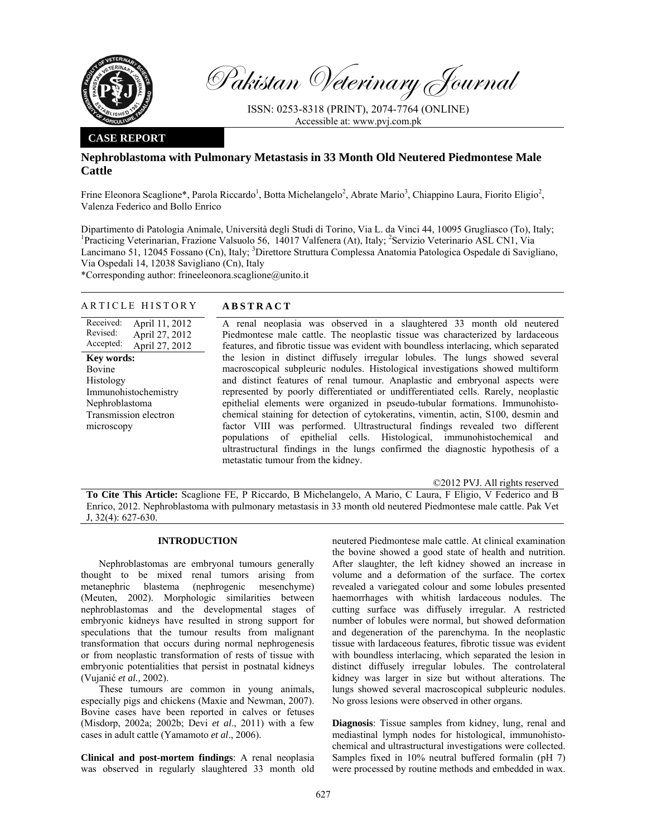

Pakistan Veterinary Journal

ISSN: 0253-8318 (PRINT), 2074-7764 (ONLINE) Accessible at: www.pvj.com.pk

### **CASE REPORT**

# **Nephroblastoma with Pulmonary Metastasis in 33 Month Old Neutered Piedmontese Male Cattle**

Frine Eleonora Scaglione\*, Parola Riccardo<sup>1</sup>, Botta Michelangelo<sup>2</sup>, Abrate Mario<sup>3</sup>, Chiappino Laura, Fiorito Eligio<sup>2</sup>, Valenza Federico and Bollo Enrico

Dipartimento di Patologia Animale, Università degli Studi di Torino, Via L. da Vinci 44, 10095 Grugliasco (To), Italy; <sup>1</sup>Practicing Veterinarian, Frazione Valsuolo 56, 14017 Valfenera (At), Italy; <sup>2</sup>Servizio Veterinario ASL CN1, Via Lancimano 51, 12045 Fossano (Cn), Italy; <sup>3</sup>Direttore Struttura Complessa Anatomia Patologica Ospedale di Savigliano, Via Ospedali 14, 12038 Savigliano (Cn), Italy

\*Corresponding author: frineeleonora.scaglione@unito.it

## ARTICLE HISTORY **ABSTRACT**

Received: Revised: Accepted: April 11, 2012 April 27, 2012 April 27, 2012 **Key words:**  Bovine Histology Immunohistochemistry Nephroblastoma Transmission electron microscopy

A renal neoplasia was observed in a slaughtered 33 month old neutered Piedmontese male cattle. The neoplastic tissue was characterized by lardaceous features, and fibrotic tissue was evident with boundless interlacing, which separated the lesion in distinct diffusely irregular lobules. The lungs showed several macroscopical subpleuric nodules. Histological investigations showed multiform and distinct features of renal tumour. Anaplastic and embryonal aspects were represented by poorly differentiated or undifferentiated cells. Rarely, neoplastic epithelial elements were organized in pseudo-tubular formations. Immunohistochemical staining for detection of cytokeratins, vimentin, actin, S100, desmin and factor VIII was performed. Ultrastructural findings revealed two different populations of epithelial cells. Histological, immunohistochemical and ultrastructural findings in the lungs confirmed the diagnostic hypothesis of a metastatic tumour from the kidney.

©2012 PVJ. All rights reserved

**To Cite This Article:** Scaglione FE, P Riccardo, B Michelangelo, A Mario, C Laura, F Eligio, V Federico and B Enrico, 2012. Nephroblastoma with pulmonary metastasis in 33 month old neutered Piedmontese male cattle. Pak Vet J, 32(4): 627-630.

## **INTRODUCTION**

Nephroblastomas are embryonal tumours generally thought to be mixed renal tumors arising from metanephric blastema (nephrogenic mesenchyme) (Meuten, 2002). Morphologic similarities between nephroblastomas and the developmental stages of embryonic kidneys have resulted in strong support for speculations that the tumour results from malignant transformation that occurs during normal nephrogenesis or from neoplastic transformation of rests of tissue with embryonic potentialities that persist in postnatal kidneys (Vujanić *et al.,* 2002).

These tumours are common in young animals, especially pigs and chickens (Maxie and Newman, 2007). Bovine cases have been reported in calves or fetuses (Misdorp, 2002a; 2002b; Devi *et al*., 2011) with a few cases in adult cattle (Yamamoto *et al*., 2006).

**Clinical and post-mortem findings**: A renal neoplasia was observed in regularly slaughtered 33 month old neutered Piedmontese male cattle. At clinical examination the bovine showed a good state of health and nutrition. After slaughter, the left kidney showed an increase in volume and a deformation of the surface. The cortex revealed a variegated colour and some lobules presented haemorrhages with whitish lardaceous nodules. The cutting surface was diffusely irregular. A restricted number of lobules were normal, but showed deformation and degeneration of the parenchyma. In the neoplastic tissue with lardaceous features, fibrotic tissue was evident with boundless interlacing, which separated the lesion in distinct diffusely irregular lobules. The controlateral kidney was larger in size but without alterations. The lungs showed several macroscopical subpleuric nodules. No gross lesions were observed in other organs.

**Diagnosis**: Tissue samples from kidney, lung, renal and mediastinal lymph nodes for histological, immunohistochemical and ultrastructural investigations were collected. Samples fixed in 10% neutral buffered formalin (pH 7) were processed by routine methods and embedded in wax.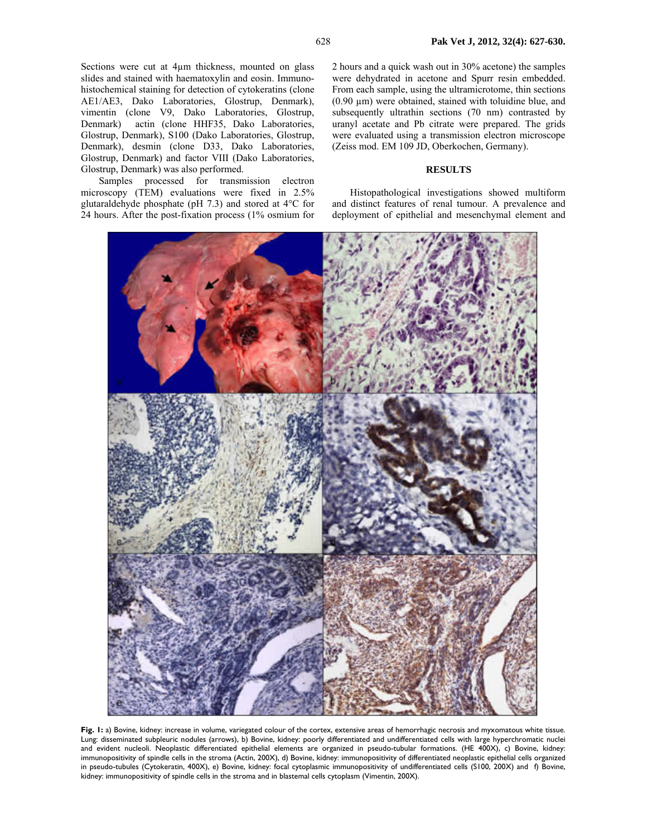Sections were cut at 4µm thickness, mounted on glass slides and stained with haematoxylin and eosin. Immunohistochemical staining for detection of cytokeratins (clone AE1/AE3, Dako Laboratories, Glostrup, Denmark), vimentin (clone V9, Dako Laboratories, Glostrup, Denmark) actin (clone HHF35, Dako Laboratories, Glostrup, Denmark), S100 (Dako Laboratories, Glostrup, Denmark), desmin (clone D33, Dako Laboratories, Glostrup, Denmark) and factor VIII (Dako Laboratories, Glostrup, Denmark) was also performed.

Samples processed for transmission electron microscopy (TEM) evaluations were fixed in 2.5% glutaraldehyde phosphate (pH 7.3) and stored at 4°C for 24 hours. After the post-fixation process (1% osmium for 2 hours and a quick wash out in 30% acetone) the samples were dehydrated in acetone and Spurr resin embedded. From each sample, using the ultramicrotome, thin sections  $(0.90 \mu m)$  were obtained, stained with toluidine blue, and subsequently ultrathin sections (70 nm) contrasted by uranyl acetate and Pb citrate were prepared. The grids were evaluated using a transmission electron microscope (Zeiss mod. EM 109 JD, Oberkochen, Germany).

#### **RESULTS**

Histopathological investigations showed multiform and distinct features of renal tumour. A prevalence and deployment of epithelial and mesenchymal element and



Fig. I: a) Bovine, kidney: increase in volume, variegated colour of the cortex, extensive areas of hemorrhagic necrosis and myxomatous white tissue. Lung: disseminated subpleuric nodules (arrows), b) Bovine, kidney: poorly differentiated and undifferentiated cells with large hyperchromatic nuclei and evident nucleoli. Neoplastic differentiated epithelial elements are organized in pseudo-tubular formations. (HE 400X), c) Bovine, kidney: immunopositivity of spindle cells in the stroma (Actin, 200X), d) Bovine, kidney: immunopositivity of differentiated neoplastic epithelial cells organized in pseudo-tubules (Cytokeratin, 400X), e) Bovine, kidney: focal cytoplasmic immunopositivity of undifferentiated cells (S100, 200X) and f) Bovine, kidney: immunopositivity of spindle cells in the stroma and in blastemal cells cytoplasm (Vimentin, 200X).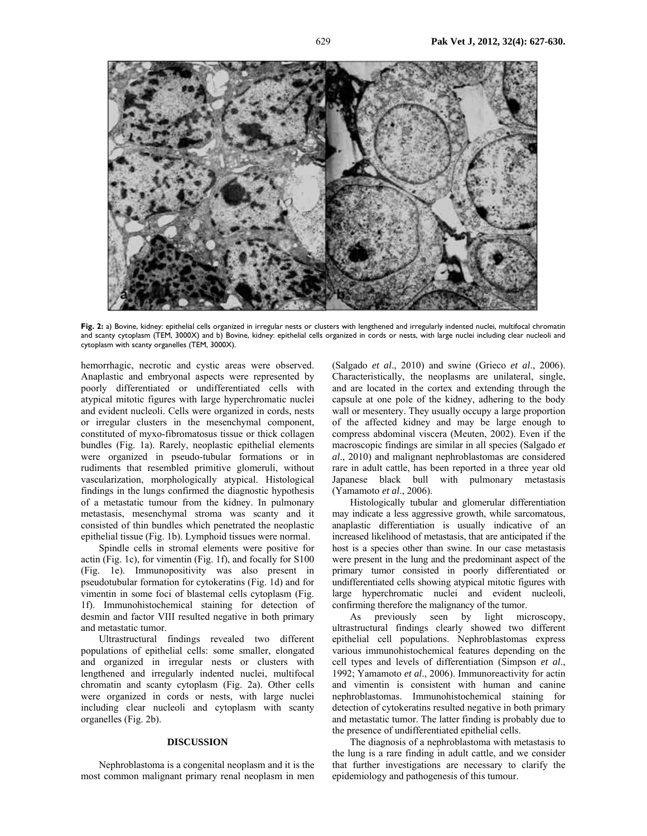

Fig. 2: a) Bovine, kidney: epithelial cells organized in irregular nests or clusters with lengthened and irregularly indented nuclei, multifocal chromatin and scanty cytoplasm (TEM, 3000X) and b) Bovine, kidney: epithelial cells organized in cords or nests, with large nuclei including clear nucleoli and cytoplasm with scanty organelles (TEM, 3000X).

hemorrhagic, necrotic and cystic areas were observed. Anaplastic and embryonal aspects were represented by poorly differentiated or undifferentiated cells with atypical mitotic figures with large hyperchromatic nuclei and evident nucleoli. Cells were organized in cords, nests or irregular clusters in the mesenchymal component, constituted of myxo-fibromatosus tissue or thick collagen bundles (Fig. 1a). Rarely, neoplastic epithelial elements were organized in pseudo-tubular formations or in rudiments that resembled primitive glomeruli, without vascularization, morphologically atypical. Histological findings in the lungs confirmed the diagnostic hypothesis of a metastatic tumour from the kidney. In pulmonary metastasis, mesenchymal stroma was scanty and it consisted of thin bundles which penetrated the neoplastic epithelial tissue (Fig. 1b). Lymphoid tissues were normal.

Spindle cells in stromal elements were positive for actin (Fig. 1c), for vimentin (Fig. 1f), and focally for S100 (Fig. 1e). Immunopositivity was also present in pseudotubular formation for cytokeratins (Fig. 1d) and for vimentin in some foci of blastemal cells cytoplasm (Fig. 1f). Immunohistochemical staining for detection of desmin and factor VIII resulted negative in both primary and metastatic tumor.

Ultrastructural findings revealed two different populations of epithelial cells: some smaller, elongated and organized in irregular nests or clusters with lengthened and irregularly indented nuclei, multifocal chromatin and scanty cytoplasm (Fig. 2a). Other cells were organized in cords or nests, with large nuclei including clear nucleoli and cytoplasm with scanty organelles (Fig. 2b).

## **DISCUSSION**

Nephroblastoma is a congenital neoplasm and it is the most common malignant primary renal neoplasm in men

(Salgado *et al*., 2010) and swine (Grieco *et al*., 2006). Characteristically, the neoplasms are unilateral, single, and are located in the cortex and extending through the capsule at one pole of the kidney, adhering to the body wall or mesentery. They usually occupy a large proportion of the affected kidney and may be large enough to compress abdominal viscera (Meuten, 2002). Even if the macroscopic findings are similar in all species (Salgado *et al*., 2010) and malignant nephroblastomas are considered rare in adult cattle, has been reported in a three year old Japanese black bull with pulmonary metastasis (Yamamoto *et al*., 2006).

Histologically tubular and glomerular differentiation may indicate a less aggressive growth, while sarcomatous, anaplastic differentiation is usually indicative of an increased likelihood of metastasis, that are anticipated if the host is a species other than swine. In our case metastasis were present in the lung and the predominant aspect of the primary tumor consisted in poorly differentiated or undifferentiated cells showing atypical mitotic figures with large hyperchromatic nuclei and evident nucleoli, confirming therefore the malignancy of the tumor.

As previously seen by light microscopy, ultrastructural findings clearly showed two different epithelial cell populations. Nephroblastomas express various immunohistochemical features depending on the cell types and levels of differentiation (Simpson *et al*., 1992; Yamamoto *et al*., 2006). Immunoreactivity for actin and vimentin is consistent with human and canine nephroblastomas. Immunohistochemical staining for detection of cytokeratins resulted negative in both primary and metastatic tumor. The latter finding is probably due to the presence of undifferentiated epithelial cells.

The diagnosis of a nephroblastoma with metastasis to the lung is a rare finding in adult cattle, and we consider that further investigations are necessary to clarify the epidemiology and pathogenesis of this tumour.